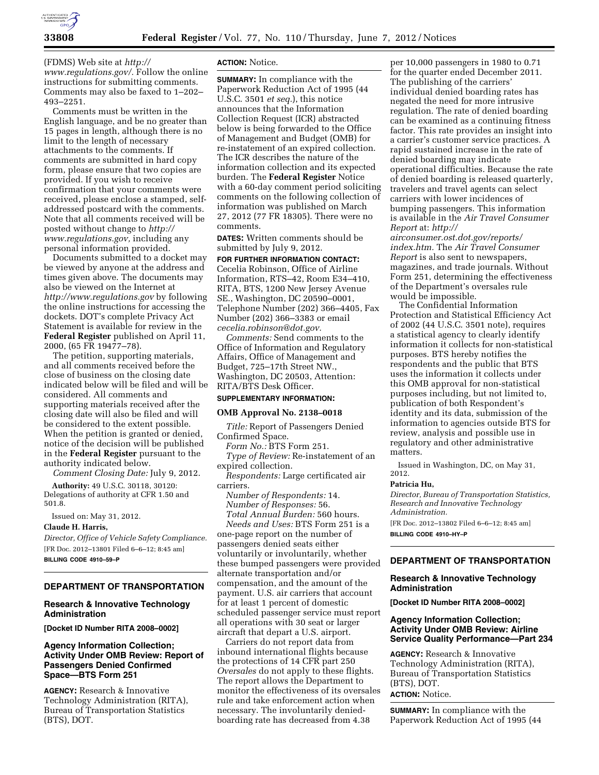

(FDMS) Web site at *[http://](http://www.regulations.gov/)  [www.regulations.gov/.](http://www.regulations.gov/)* Follow the online instructions for submitting comments. Comments may also be faxed to 1–202– 493–2251.

Comments must be written in the English language, and be no greater than 15 pages in length, although there is no limit to the length of necessary attachments to the comments. If comments are submitted in hard copy form, please ensure that two copies are provided. If you wish to receive confirmation that your comments were received, please enclose a stamped, selfaddressed postcard with the comments. Note that all comments received will be posted without change to *[http://](http://www.regulations.gov) [www.regulations.gov,](http://www.regulations.gov)* including any personal information provided.

Documents submitted to a docket may be viewed by anyone at the address and times given above. The documents may also be viewed on the Internet at *<http://www.regulations.gov>* by following the online instructions for accessing the dockets. DOT's complete Privacy Act Statement is available for review in the **Federal Register** published on April 11, 2000, (65 FR 19477–78).

The petition, supporting materials, and all comments received before the close of business on the closing date indicated below will be filed and will be considered. All comments and supporting materials received after the closing date will also be filed and will be considered to the extent possible. When the petition is granted or denied, notice of the decision will be published in the **Federal Register** pursuant to the authority indicated below.

*Comment Closing Date:* July 9, 2012.

**Authority:** 49 U.S.C. 30118, 30120: Delegations of authority at CFR 1.50 and 501.8.

Issued on: May 31, 2012.

#### **Claude H. Harris,**

*Director, Office of Vehicle Safety Compliance.*  [FR Doc. 2012–13801 Filed 6–6–12; 8:45 am]

**BILLING CODE 4910–59–P** 

# **DEPARTMENT OF TRANSPORTATION**

## **Research & Innovative Technology Administration**

**[Docket ID Number RITA 2008–0002]** 

# **Agency Information Collection; Activity Under OMB Review: Report of Passengers Denied Confirmed Space—BTS Form 251**

**AGENCY:** Research & Innovative Technology Administration (RITA), Bureau of Transportation Statistics (BTS), DOT.

#### **ACTION:** Notice.

**SUMMARY:** In compliance with the Paperwork Reduction Act of 1995 (44 U.S.C. 3501 *et seq.*), this notice announces that the Information Collection Request (ICR) abstracted below is being forwarded to the Office of Management and Budget (OMB) for re-instatement of an expired collection. The ICR describes the nature of the information collection and its expected burden. The **Federal Register** Notice with a 60-day comment period soliciting comments on the following collection of information was published on March 27, 2012 (77 FR 18305). There were no comments.

**DATES:** Written comments should be submitted by July 9, 2012.

# **FOR FURTHER INFORMATION CONTACT:**

Cecelia Robinson, Office of Airline Information, RTS–42, Room E34–410, RITA, BTS, 1200 New Jersey Avenue SE., Washington, DC 20590–0001, Telephone Number (202) 366–4405, Fax Number (202) 366–3383 or email *[cecelia.robinson@dot.gov.](mailto:cecelia.robinson@dot.gov)* 

*Comments:* Send comments to the Office of Information and Regulatory Affairs, Office of Management and Budget, 725–17th Street NW., Washington, DC 20503, Attention: RITA/BTS Desk Officer.

# **SUPPLEMENTARY INFORMATION:**

#### **OMB Approval No. 2138–0018**

*Title:* Report of Passengers Denied Confirmed Space.

*Form No.:* BTS Form 251.

*Type of Review:* Re-instatement of an expired collection.

*Respondents:* Large certificated air carriers.

*Number of Respondents:* 14. *Number of Responses:* 56. *Total Annual Burden:* 560 hours.

*Needs and Uses:* BTS Form 251 is a one-page report on the number of passengers denied seats either voluntarily or involuntarily, whether these bumped passengers were provided alternate transportation and/or compensation, and the amount of the payment. U.S. air carriers that account for at least 1 percent of domestic scheduled passenger service must report all operations with 30 seat or larger aircraft that depart a U.S. airport.

Carriers do not report data from inbound international flights because the protections of 14 CFR part 250 *Oversales* do not apply to these flights. The report allows the Department to monitor the effectiveness of its oversales rule and take enforcement action when necessary. The involuntarily deniedboarding rate has decreased from 4.38

per 10,000 passengers in 1980 to 0.71 for the quarter ended December 2011. The publishing of the carriers' individual denied boarding rates has negated the need for more intrusive regulation. The rate of denied boarding can be examined as a continuing fitness factor. This rate provides an insight into a carrier's customer service practices. A rapid sustained increase in the rate of denied boarding may indicate operational difficulties. Because the rate of denied boarding is released quarterly, travelers and travel agents can select carriers with lower incidences of bumping passengers. This information is available in the *Air Travel Consumer Report* at: *[http://](http://airconsumer.ost.dot.gov/reports/index.htm)* 

*[airconsumer.ost.dot.gov/reports/](http://airconsumer.ost.dot.gov/reports/index.htm) [index.htm.](http://airconsumer.ost.dot.gov/reports/index.htm)* The *Air Travel Consumer Report* is also sent to newspapers, magazines, and trade journals. Without Form 251, determining the effectiveness of the Department's oversales rule would be impossible.

The Confidential Information Protection and Statistical Efficiency Act of 2002 (44 U.S.C. 3501 note), requires a statistical agency to clearly identify information it collects for non-statistical purposes. BTS hereby notifies the respondents and the public that BTS uses the information it collects under this OMB approval for non-statistical purposes including, but not limited to, publication of both Respondent's identity and its data, submission of the information to agencies outside BTS for review, analysis and possible use in regulatory and other administrative matters.

Issued in Washington, DC, on May 31, 2012.

#### **Patricia Hu,**

*Director, Bureau of Transportation Statistics, Research and Innovative Technology Administration.* 

[FR Doc. 2012–13802 Filed 6–6–12; 8:45 am] **BILLING CODE 4910–HY–P** 

# **DEPARTMENT OF TRANSPORTATION**

## **Research & Innovative Technology Administration**

**[Docket ID Number RITA 2008–0002]** 

# **Agency Information Collection; Activity Under OMB Review: Airline Service Quality Performance—Part 234**

**AGENCY:** Research & Innovative Technology Administration (RITA), Bureau of Transportation Statistics (BTS), DOT. **ACTION:** Notice.

**SUMMARY:** In compliance with the Paperwork Reduction Act of 1995 (44